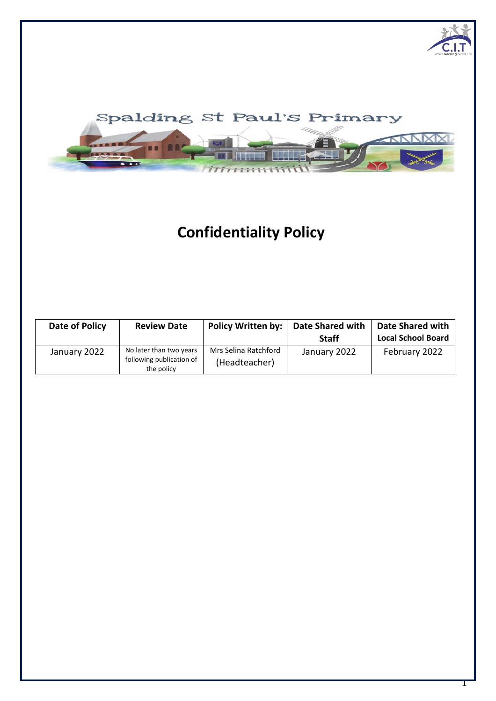

# **Confidentiality Policy**

| Date of Policy | <b>Review Date</b>                                                | <b>Policy Written by:</b>             | <b>Date Shared with</b><br><b>Staff</b> | Date Shared with<br><b>Local School Board</b> |
|----------------|-------------------------------------------------------------------|---------------------------------------|-----------------------------------------|-----------------------------------------------|
| January 2022   | No later than two years<br>following publication of<br>the policy | Mrs Selina Ratchford<br>(Headteacher) | January 2022                            | February 2022                                 |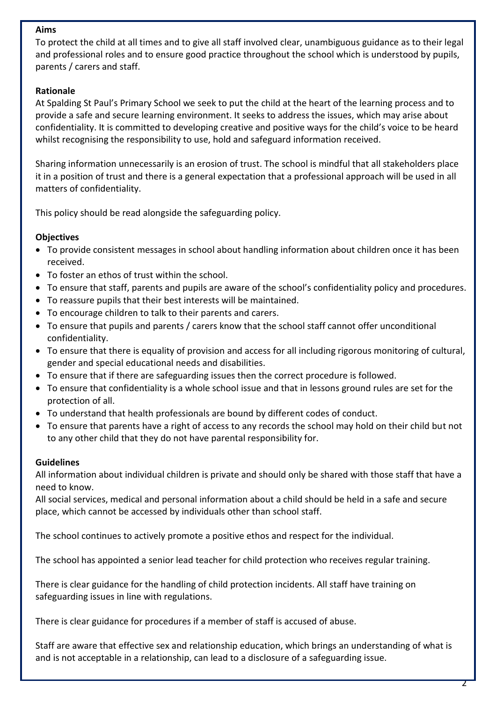### **Aims**

To protect the child at all times and to give all staff involved clear, unambiguous guidance as to their legal and professional roles and to ensure good practice throughout the school which is understood by pupils, parents / carers and staff.

## **Rationale**

At Spalding St Paul's Primary School we seek to put the child at the heart of the learning process and to provide a safe and secure learning environment. It seeks to address the issues, which may arise about confidentiality. It is committed to developing creative and positive ways for the child's voice to be heard whilst recognising the responsibility to use, hold and safeguard information received.

Sharing information unnecessarily is an erosion of trust. The school is mindful that all stakeholders place it in a position of trust and there is a general expectation that a professional approach will be used in all matters of confidentiality.

This policy should be read alongside the safeguarding policy.

## **Objectives**

- To provide consistent messages in school about handling information about children once it has been received.
- To foster an ethos of trust within the school.
- To ensure that staff, parents and pupils are aware of the school's confidentiality policy and procedures.
- To reassure pupils that their best interests will be maintained.
- To encourage children to talk to their parents and carers.
- To ensure that pupils and parents / carers know that the school staff cannot offer unconditional confidentiality.
- To ensure that there is equality of provision and access for all including rigorous monitoring of cultural, gender and special educational needs and disabilities.
- To ensure that if there are safeguarding issues then the correct procedure is followed.
- To ensure that confidentiality is a whole school issue and that in lessons ground rules are set for the protection of all.
- To understand that health professionals are bound by different codes of conduct.
- To ensure that parents have a right of access to any records the school may hold on their child but not to any other child that they do not have parental responsibility for.

#### **Guidelines**

All information about individual children is private and should only be shared with those staff that have a need to know.

All social services, medical and personal information about a child should be held in a safe and secure place, which cannot be accessed by individuals other than school staff.

The school continues to actively promote a positive ethos and respect for the individual.

The school has appointed a senior lead teacher for child protection who receives regular training.

There is clear guidance for the handling of child protection incidents. All staff have training on safeguarding issues in line with regulations.

There is clear guidance for procedures if a member of staff is accused of abuse.

Staff are aware that effective sex and relationship education, which brings an understanding of what is and is not acceptable in a relationship, can lead to a disclosure of a safeguarding issue.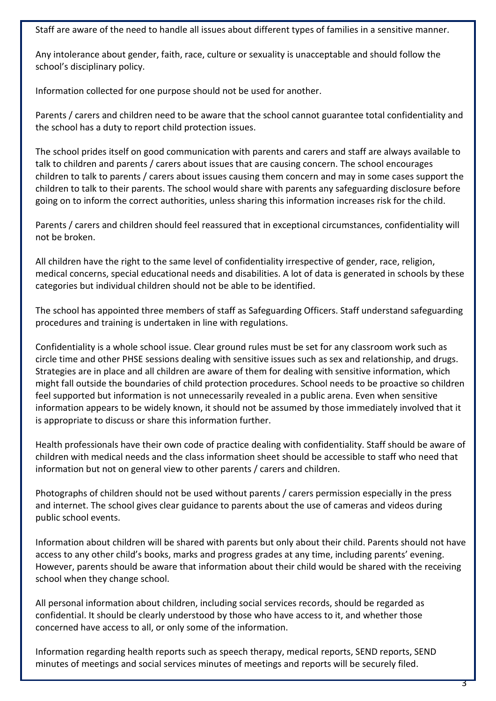Staff are aware of the need to handle all issues about different types of families in a sensitive manner.

Any intolerance about gender, faith, race, culture or sexuality is unacceptable and should follow the school's disciplinary policy.

Information collected for one purpose should not be used for another.

Parents / carers and children need to be aware that the school cannot guarantee total confidentiality and the school has a duty to report child protection issues.

The school prides itself on good communication with parents and carers and staff are always available to talk to children and parents / carers about issues that are causing concern. The school encourages children to talk to parents / carers about issues causing them concern and may in some cases support the children to talk to their parents. The school would share with parents any safeguarding disclosure before going on to inform the correct authorities, unless sharing this information increases risk for the child.

Parents / carers and children should feel reassured that in exceptional circumstances, confidentiality will not be broken.

All children have the right to the same level of confidentiality irrespective of gender, race, religion, medical concerns, special educational needs and disabilities. A lot of data is generated in schools by these categories but individual children should not be able to be identified.

The school has appointed three members of staff as Safeguarding Officers. Staff understand safeguarding procedures and training is undertaken in line with regulations.

Confidentiality is a whole school issue. Clear ground rules must be set for any classroom work such as circle time and other PHSE sessions dealing with sensitive issues such as sex and relationship, and drugs. Strategies are in place and all children are aware of them for dealing with sensitive information, which might fall outside the boundaries of child protection procedures. School needs to be proactive so children feel supported but information is not unnecessarily revealed in a public arena. Even when sensitive information appears to be widely known, it should not be assumed by those immediately involved that it is appropriate to discuss or share this information further.

Health professionals have their own code of practice dealing with confidentiality. Staff should be aware of children with medical needs and the class information sheet should be accessible to staff who need that information but not on general view to other parents / carers and children.

Photographs of children should not be used without parents / carers permission especially in the press and internet. The school gives clear guidance to parents about the use of cameras and videos during public school events.

Information about children will be shared with parents but only about their child. Parents should not have access to any other child's books, marks and progress grades at any time, including parents' evening. However, parents should be aware that information about their child would be shared with the receiving school when they change school.

All personal information about children, including social services records, should be regarded as confidential. It should be clearly understood by those who have access to it, and whether those concerned have access to all, or only some of the information.

Information regarding health reports such as speech therapy, medical reports, SEND reports, SEND minutes of meetings and social services minutes of meetings and reports will be securely filed.